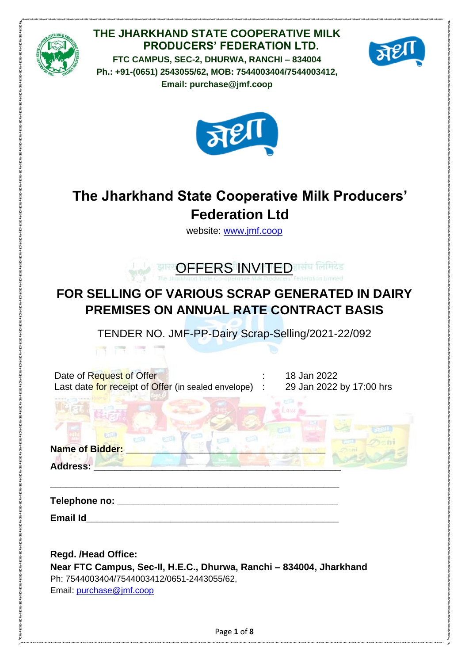

# **THE JHARKHAND STATE COOPERATIVE MILK PRODUCERS' FEDERATION LTD.**

**FTC CAMPUS, SEC-2, DHURWA, RANCHI – 834004 Ph.: +91-(0651) 2543055/62, MOB: 7544003404/7544003412, Email: purchase@jmf.coop**





# **The Jharkhand State Cooperative Milk Producers' Federation Ltd**

website: [www.jmf.coop](http://www.jmf.coop/)



# **FOR SELLING OF VARIOUS SCRAP GENERATED IN DAIRY PREMISES ON ANNUAL RATE CONTRACT BASIS**

TENDER NO. JMF-PP-Dairy Scrap-Selling/2021-22/092

| Date of Request of Offer                              | 18 |
|-------------------------------------------------------|----|
| Last date for receipt of Offer (in sealed envelope) : | 29 |

 $B$  Jan 2022  $\theta$  Jan 2022 by 17:00 hrs

Name of Bidder:

**Address: \_\_\_\_\_\_\_\_\_\_\_\_\_\_\_\_\_\_\_\_\_\_\_\_\_\_\_\_\_\_\_\_\_\_\_\_\_\_\_\_\_\_\_\_\_\_\_**

**Telephone no: \_\_\_\_\_\_\_\_\_\_\_\_\_\_\_\_\_\_\_\_\_\_\_\_\_\_\_\_\_\_\_\_\_\_\_\_\_\_\_\_\_\_**

**Email Id\_\_\_\_\_\_\_\_\_\_\_\_\_\_\_\_\_\_\_\_\_\_\_\_\_\_\_\_\_\_\_\_\_\_\_\_\_\_\_\_\_\_\_\_\_\_\_\_**

**Regd. /Head Office: Near FTC Campus, Sec-II, H.E.C., Dhurwa, Ranchi – 834004, Jharkhand** Ph: 7544003404/7544003412/0651-2443055/62, Email: [purchase@jmf.coop](mailto:purchase@jmf.coop)

**\_\_\_\_\_\_\_\_\_\_\_\_\_\_\_\_\_\_\_\_\_\_\_\_\_\_\_\_\_\_\_\_\_\_\_\_\_\_\_\_\_\_\_\_\_\_\_\_\_\_\_\_\_\_\_**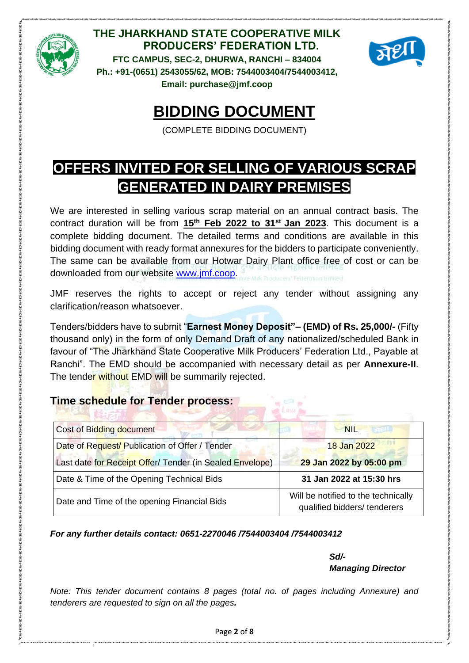



# **BIDDING DOCUMENT**

(COMPLETE BIDDING DOCUMENT)

# **OFFERS INVITED FOR SELLING OF VARIOUS SCRAP GENERATED IN DAIRY PREMISES**

We are interested in selling various scrap material on an annual contract basis. The contract duration will be from **15th Feb 2022 to 31 st Jan 2023**. This document is a complete bidding document. The detailed terms and conditions are available in this bidding document with ready format annexures for the bidders to participate conveniently. The same can be available from our Hotwar Dairy Plant office free of cost or can be downloaded from our website [www.jmf.coop.](http://www.jmf.coop/)

JMF reserves the rights to accept or reject any tender without assigning any clarification/reason whatsoever.

Tenders/bidders have to submit "**Earnest Money Deposit"– (EMD) of Rs. 25,000/-** (Fifty thousand only) in the form of only Demand Draft of any nationalized/scheduled Bank in favour of "The Jharkhand State Cooperative Milk Producers' Federation Ltd., Payable at Ranchi". The EMD should be accompanied with necessary detail as per **Annexure-II**. The tender without EMD will be summarily rejected.

## **Time schedule for Tender process:**

| <b>Cost of Bidding document</b>                          | <b>NIL</b>                                                          |
|----------------------------------------------------------|---------------------------------------------------------------------|
| Date of Request/ Publication of Offer / Tender           | 18 Jan 2022                                                         |
| Last date for Receipt Offer/ Tender (in Sealed Envelope) | 29 Jan 2022 by 05:00 pm                                             |
| Date & Time of the Opening Technical Bids                | 31 Jan 2022 at 15:30 hrs                                            |
| Date and Time of the opening Financial Bids              | Will be notified to the technically<br>qualified bidders/ tenderers |

*For any further details contact: 0651-2270046 /7544003404 /7544003412*

*Sd/- Managing Director*

*Note: This tender document contains 8 pages (total no. of pages including Annexure) and tenderers are requested to sign on all the pages.*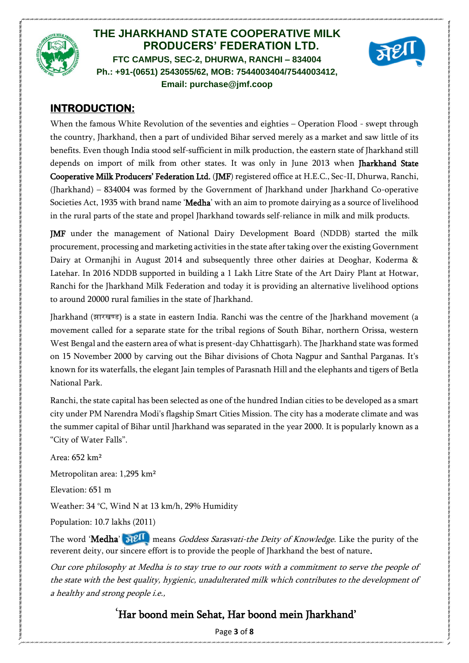



## **INTRODUCTION:**

When the famous White Revolution of the seventies and eighties – Operation Flood - swept through the country, Jharkhand, then a part of undivided Bihar served merely as a market and saw little of its benefits. Even though India stood self-sufficient in milk production, the eastern state of Jharkhand still depends on import of milk from other states. It was only in June 2013 when Jharkhand State Cooperative Milk Producers' Federation Ltd. (JMF) registered office at H.E.C., Sec-II, Dhurwa, Ranchi, (Jharkhand) – 834004 was formed by the Government of Jharkhand under Jharkhand Co-operative Societies Act, 1935 with brand name 'Medha' with an aim to promote dairying as a source of livelihood in the rural parts of the state and propel Jharkhand towards self-reliance in milk and milk products.

JMF under the management of National Dairy Development Board (NDDB) started the milk procurement, processing and marketing activities in the state after taking over the existing Government Dairy at Ormanjhi in August 2014 and subsequently three other dairies at Deoghar, Koderma & Latehar. In 2016 NDDB supported in building a 1 Lakh Litre State of the Art Dairy Plant at Hotwar, Ranchi for the Jharkhand Milk Federation and today it is providing an alternative livelihood options to around 20000 rural families in the state of Jharkhand.

Jharkhand (झारखण्ड) is a state in eastern India. Ranchi was the centre of the Jharkhand movement (a movement called for a separate state for the tribal regions of South Bihar, northern Orissa, western West Bengal and the eastern area of what is present-day Chhattisgarh). The Jharkhand state was formed on 15 November 2000 by carving out the Bihar divisions of Chota Nagpur and Santhal Parganas. It's known for its waterfalls, the elegant Jain temples of Parasnath Hill and the elephants and tigers of Betla National Park.

Ranchi, the state capital has been selected as one of the hundred Indian cities to be developed as a smart city under PM Narendra Modi's flagship Smart Cities Mission. The city has a moderate climate and was the summer capital of Bihar until Jharkhand was separated in the year 2000. It is popularly known as a "City of Water Falls".

Area: 652 km² Metropolitan area: 1,295 km² Elevation: 651 m Weather: 34 °C, Wind N at 13 km/h, 29% Humidity Population: 10.7 lakhs (2011) The word 'Medha'  $\mathbb{R}^{\lceil \cdot \rceil}$  means *Goddess Sarasvati-the Deity of Knowledge*. Like the purity of the

reverent deity, our sincere effort is to provide the people of Jharkhand the best of nature. Our core philosophy at Medha is to stay true to our roots with a commitment to serve the people of

the state with the best quality, hygienic, unadulterated milk which contributes to the development of a healthy and strong people i.e.,

## 'Har boond mein Sehat, Har boond mein Jharkhand'

Page **3** of **8**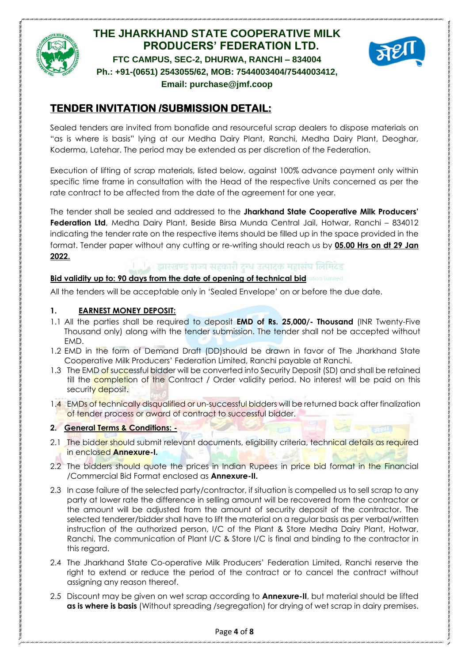



# **TENDER INVITATION /SUBMISSION DETAIL:**

Sealed tenders are invited from bonafide and resourceful scrap dealers to dispose materials on "as is where is basis" lying at our Medha Dairy Plant, Ranchi, Medha Dairy Plant, Deoghar, Koderma, Latehar. The period may be extended as per discretion of the Federation.

Execution of lifting of scrap materials, listed below, against 100% advance payment only within specific time frame in consultation with the Head of the respective Units concerned as per the rate contract to be affected from the date of the agreement for one year.

The tender shall be sealed and addressed to the **Jharkhand State Cooperative Milk Producers' Federation Ltd**, Medha Dairy Plant, Beside Birsa Munda Central Jail, Hotwar, Ranchi – 834012 indicating the tender rate on the respective items should be filled up in the space provided in the format. Tender paper without any cutting or re-writing should reach us by **05.00 Hrs on dt 29 Jan 2022.**

#### झारखण्ड राज्य सहकारी दग्ध उत्पादक महासंघ लिमिटेड

#### **Bid validity up to: 90 days from the date of opening of technical bid**

All the tenders will be acceptable only in 'Sealed Envelope' on or before the due date.

#### **1. EARNEST MONEY DEPOSIT:**

- 1.1 All the parties shall be required to deposit **EMD of Rs. 25,000/- Thousand** (INR Twenty-Five Thousand only) along with the tender submission. The tender shall not be accepted without EMD.
- 1.2 EMD in the form of Demand Draft (DD)should be drawn in favor of The Jharkhand State Cooperative Milk Producers' Federation Limited, Ranchi payable at Ranchi.
- 1.3 The EMD of successful bidder will be converted into Security Deposit (SD) and shall be retained till the **completion** of the Contract / Order validity period. No interest will be paid on this security deposit.
- 1.4 EMDs of technically disqualified or un-successful bidders will be returned back after finalization of tender process or award of contract to successful bidder.

#### **2. General Terms & Conditions: -**

- 2.1 The bidder should submit relevant documents, eligibility criteria, technical details as required in enclosed **Annexure-I.**
- 2.2 The bidders should quote the prices in Indian Rupees in price bid format in the Financial /Commercial Bid Format enclosed as **Annexure-II.**
- 2.3 In case failure of the selected party/contractor, if situation is compelled us to sell scrap to any party at lower rate the difference in selling amount will be recovered from the contractor or the amount will be adjusted from the amount of security deposit of the contractor. The selected tenderer/bidder shall have to lift the material on a regular basis as per verbal/written instruction of the authorized person, I/C of the Plant & Store Medha Dairy Plant, Hotwar, Ranchi. The communication of Plant I/C & Store I/C is final and binding to the contractor in this regard.
- 2.4 The Jharkhand State Co-operative Milk Producers' Federation Limited, Ranchi reserve the right to extend or reduce the period of the contract or to cancel the contract without assigning any reason thereof.
- 2.5 Discount may be given on wet scrap according to **Annexure-II**, but material should be lifted **as is where is basis** (Without spreading /segregation) for drying of wet scrap in dairy premises.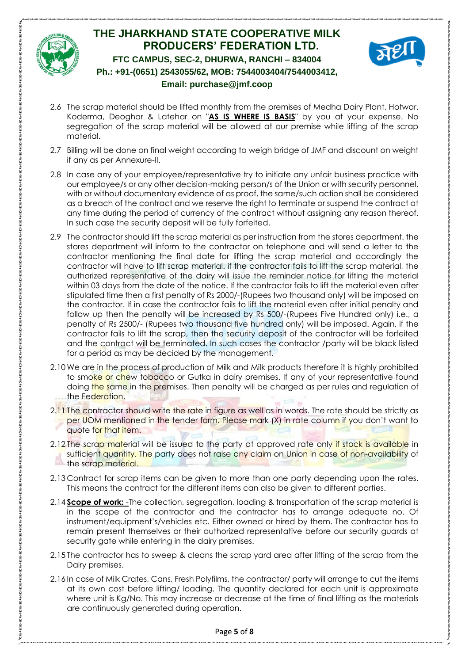



- 2.6 The scrap material should be lifted monthly from the premises of Medha Dairy Plant, Hotwar, Koderma, Deoghar & Latehar on "**AS IS WHERE IS BASIS**" by you at your expense. No segregation of the scrap material will be allowed at our premise while lifting of the scrap material.
- 2.7 Billing will be done on final weight according to weigh bridge of JMF and discount on weight if any as per Annexure-II.
- 2.8 In case any of your employee/representative try to initiate any unfair business practice with our employee/s or any other decision-making person/s of the Union or with security personnel, with or without documentary evidence of as proof, the same/such action shall be considered as a breach of the contract and we reserve the right to terminate or suspend the contract at any time during the period of currency of the contract without assigning any reason thereof. In such case the security deposit will be fully forfeited.
- 2.9 The contractor should lift the scrap material as per instruction from the stores department. the stores department will inform to the contractor on telephone and will send a letter to the contractor mentioning the final date for lifting the scrap material and accordingly the contractor will have to lift scrap material. if the contractor fails to lift the scrap material, the authorized representative of the dairy will issue the reminder notice for lifting the material within 03 days from the date of the notice. If the contractor fails to lift the material even after stipulated time then a first penalty of Rs 2000/-(Rupees two thousand only) will be imposed on the contractor. If in case the contractor fails to lift the material even after initial penalty and follow up then the penalty will be increased by Rs 500/-(Rupees Five Hundred only) i.e., a penalty of Rs 2500/- (Rupees two thousand five hundred only) will be imposed. Again, if the contractor fails to lift the scrap, then the security deposit of the contractor will be forfeited and the contract will be terminated. In such cases the contractor /party will be black listed for a period as may be decided by the management.
- 2.10 We are in the process of production of Milk and Milk products therefore it is highly prohibited to smoke or chew tobacco or Gutka in dairy premises. If any of your representative found doing the same in the premises. Then penalty will be charged as per rules and regulation of the Federation.
- 2.11 The contractor should write the rate in figure as well as in words. The rate should be strictly as per UOM mentioned in the tender form. Please mark (X) in rate column if you don't want to quote for that item.
- 2.12 The scrap material will be issued to the party at approved rate only if stock is available in sufficient quantity. The party does not raise any claim on Union in case of non-availability of the scrap material.
- 2.13 Contract for scrap items can be given to more than one party depending upon the rates. This means the contract for the different items can also be given to different parties.
- 2.14 **Scope of work:** -The collection, segregation, loading & transportation of the scrap material is in the scope of the contractor and the contractor has to arrange adequate no. Of instrument/equipment's/vehicles etc. Either owned or hired by them. The contractor has to remain present themselves or their authorized representative before our security guards at security gate while entering in the dairy premises.
- 2.15 The contractor has to sweep & cleans the scrap yard area after lifting of the scrap from the Dairy premises.
- 2.16 In case of Milk Crates, Cans, Fresh Polyfilms, the contractor/ party will arrange to cut the items at its own cost before lifting/ loading. The quantity declared for each unit is approximate where unit is Kg/No. This may increase or decrease at the time of final lifting as the materials are continuously generated during operation.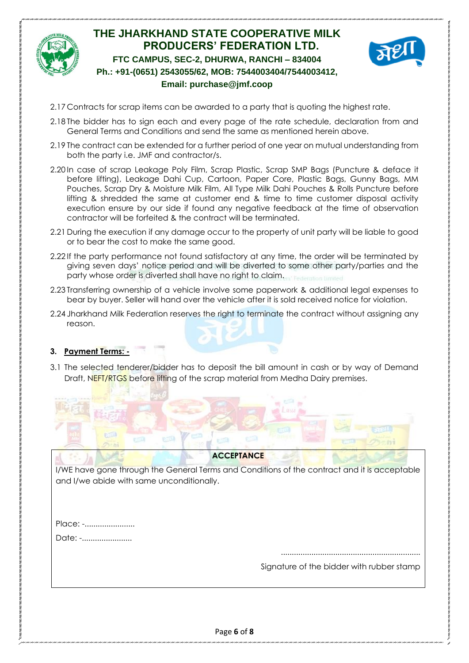



- 2.17 Contracts for scrap items can be awarded to a party that is quoting the highest rate.
- 2.18 The bidder has to sign each and every page of the rate schedule, declaration from and General Terms and Conditions and send the same as mentioned herein above.
- 2.19 The contract can be extended for a further period of one year on mutual understanding from both the party i.e. JMF and contractor/s.
- 2.20 In case of scrap Leakage Poly Film, Scrap Plastic, Scrap SMP Bags (Puncture & deface it before lifting), Leakage Dahi Cup, Cartoon, Paper Core, Plastic Bags, Gunny Bags, MM Pouches, Scrap Dry & Moisture Milk Film, All Type Milk Dahi Pouches & Rolls Puncture before lifting & shredded the same at customer end & time to time customer disposal activity execution ensure by our side if found any negative feedback at the time of observation contractor will be forfeited & the contract will be terminated.
- 2.21 During the execution if any damage occur to the property of unit party will be liable to good or to bear the cost to make the same good.
- 2.22 If the party performance not found satisfactory at any time, the order will be terminated by giving seven days' notice period and will be diverted to some other party/parties and the party whose order is diverted shall have no right to claim.
- 2.23 Transferring ownership of a vehicle involve some paperwork & additional legal expenses to bear by buyer. Seller will hand over the vehicle after it is sold received notice for violation.
- 2.24 Jharkhand Milk Federation reserves the right to terminate the contract without assigning any reason.

#### **3. Payment Terms: -**

3.1 The selected tenderer/bidder has to deposit the bill amount in cash or by way of Demand Draft, NEFT/RTGS before lifting of the scrap material from Medha Dairy premises.



I/WE have gone through the General Terms and Conditions of the contract and it is acceptable and I/we abide with same unconditionally.

Place: -....................... Date: -.......................

> ................................................................ Signature of the bidder with rubber stamp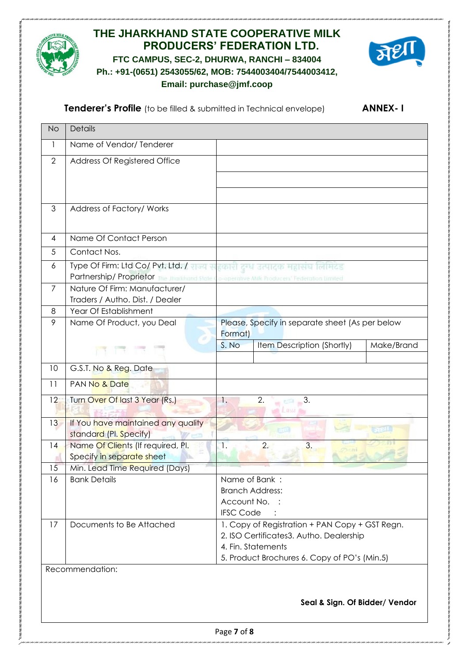



**Tenderer's Profile** (to be filled & submitted in Technical envelope) **ANNEX-I** 

| <b>No</b>      | Details                                                                                   |                                                 |                                              |            |  |
|----------------|-------------------------------------------------------------------------------------------|-------------------------------------------------|----------------------------------------------|------------|--|
| 1              | Name of Vendor/Tenderer                                                                   |                                                 |                                              |            |  |
| $\overline{2}$ | Address Of Registered Office                                                              |                                                 |                                              |            |  |
|                |                                                                                           |                                                 |                                              |            |  |
|                |                                                                                           |                                                 |                                              |            |  |
| 3              | Address of Factory/ Works                                                                 |                                                 |                                              |            |  |
|                |                                                                                           |                                                 |                                              |            |  |
| 4              | Name Of Contact Person                                                                    |                                                 |                                              |            |  |
| 5              | Contact Nos.                                                                              |                                                 |                                              |            |  |
| 6              | Type Of Firm: Ltd Co/ Pvt. Ltd. / राज्य सहकारी दुर्ख उत्पादक महासंघ लिमिटेड               |                                                 |                                              |            |  |
|                | Partnership/ Proprietor The Junkhand State Lo-operative Milk Producent Federation Limited |                                                 |                                              |            |  |
| $\overline{7}$ | Nature Of Firm: Manufacturer/                                                             |                                                 |                                              |            |  |
| 8              | Traders / Autho. Dist. / Dealer<br>Year Of Establishment                                  |                                                 |                                              |            |  |
| 9              | Name Of Product, you Deal                                                                 | Please, Specify in separate sheet (As per below |                                              |            |  |
|                |                                                                                           | Format)                                         |                                              |            |  |
|                |                                                                                           | S. No                                           | Item Description (Shortly)                   | Make/Brand |  |
|                |                                                                                           |                                                 |                                              |            |  |
| 10             | G.S.T. No & Reg. Date                                                                     |                                                 |                                              |            |  |
| 11             | PAN No & Date                                                                             |                                                 |                                              |            |  |
| 12             | Turn Over Of last 3 Year (Rs.)                                                            | 1.                                              | 2.<br>3.                                     |            |  |
|                |                                                                                           |                                                 | Lassi                                        |            |  |
| 13             | If You have maintained any quality<br>standard (Pl. Specify)                              |                                                 |                                              |            |  |
| 14             | Name Of Clients (If required, PI.                                                         | 1.                                              | 3.<br>2.                                     |            |  |
|                | Specify in separate sheet                                                                 |                                                 |                                              |            |  |
| 15             | Min. Lead Time Required (Days)                                                            |                                                 |                                              |            |  |
| 16             | <b>Bank Details</b>                                                                       | Name of Bank:                                   |                                              |            |  |
|                |                                                                                           | <b>Branch Address:</b>                          |                                              |            |  |
|                |                                                                                           | Account No. :<br><b>IFSC Code</b>               |                                              |            |  |
| 17             | Documents to Be Attached                                                                  | 1. Copy of Registration + PAN Copy + GST Regn.  |                                              |            |  |
|                |                                                                                           | 2. ISO Certificates3. Autho. Dealership         |                                              |            |  |
|                |                                                                                           | 4. Fin. Statements                              |                                              |            |  |
|                |                                                                                           |                                                 | 5. Product Brochures 6. Copy of PO's (Min.5) |            |  |
|                | Recommendation:                                                                           |                                                 |                                              |            |  |
|                |                                                                                           |                                                 |                                              |            |  |
|                |                                                                                           |                                                 | Seal & Sign. Of Bidder/ Vendor               |            |  |
|                |                                                                                           |                                                 |                                              |            |  |
|                |                                                                                           |                                                 |                                              |            |  |